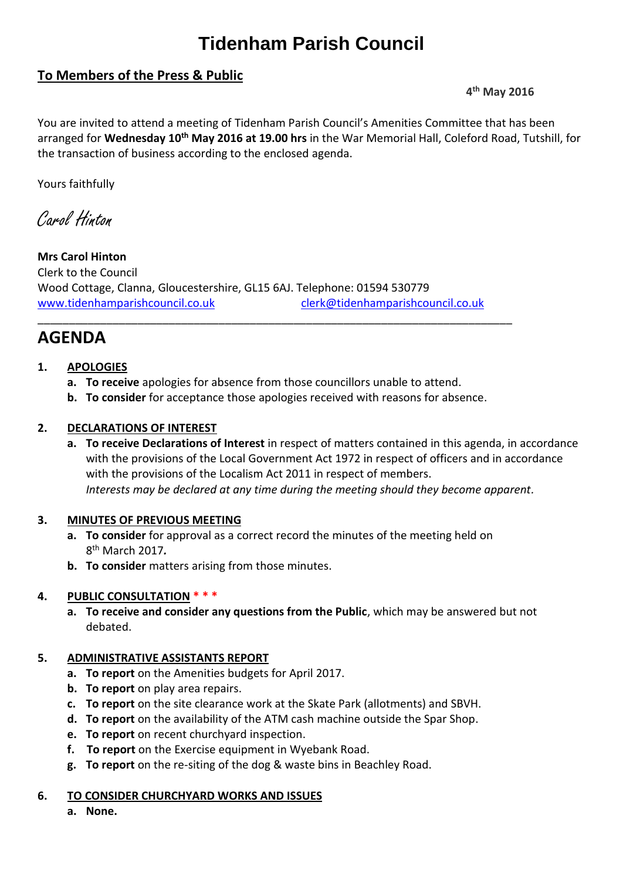# **Tidenham Parish Council**

# **To Members of the Press & Public**

# **4 th May 2016**

You are invited to attend a meeting of Tidenham Parish Council's Amenities Committee that has been arranged for **Wednesday 10th May 2016 at 19.00 hrs** in the War Memorial Hall, Coleford Road, Tutshill, for the transaction of business according to the enclosed agenda.

Yours faithfully

Carol Hinton

**Mrs Carol Hinton** Clerk to the Council Wood Cottage, Clanna, Gloucestershire, GL15 6AJ. Telephone: 01594 530779 [www.tidenhamparishcouncil.co.uk](http://www.tidenhamparishcouncil.co.uk/) [clerk@tidenhamparishcouncil.co.uk](mailto:clerk@tidenhamparishcouncil.co.uk)

# **AGENDA**

# **1. APOLOGIES**

- **a. To receive** apologies for absence from those councillors unable to attend.
- **b. To consider** for acceptance those apologies received with reasons for absence.

\_\_\_\_\_\_\_\_\_\_\_\_\_\_\_\_\_\_\_\_\_\_\_\_\_\_\_\_\_\_\_\_\_\_\_\_\_\_\_\_\_\_\_\_\_\_\_\_\_\_\_\_\_\_\_\_\_\_\_\_\_\_\_\_\_\_\_\_\_\_\_\_\_\_\_\_

#### **2. DECLARATIONS OF INTEREST**

**a. To receive Declarations of Interest** in respect of matters contained in this agenda, in accordance with the provisions of the Local Government Act 1972 in respect of officers and in accordance with the provisions of the Localism Act 2011 in respect of members. *Interests may be declared at any time during the meeting should they become apparent.*

#### **3. MINUTES OF PREVIOUS MEETING**

- **a. To consider** for approval as a correct record the minutes of the meeting held on 8 th March 2017*.*
- **b. To consider** matters arising from those minutes.

# **4. PUBLIC CONSULTATION \* \* \***

**a. To receive and consider any questions from the Public**, which may be answered but not debated.

#### **5. ADMINISTRATIVE ASSISTANTS REPORT**

- **a. To report** on the Amenities budgets for April 2017.
- **b. To report** on play area repairs.
- **c. To report** on the site clearance work at the Skate Park (allotments) and SBVH.
- **d. To report** on the availability of the ATM cash machine outside the Spar Shop.
- **e. To report** on recent churchyard inspection.
- **f. To report** on the Exercise equipment in Wyebank Road.
- **g. To report** on the re-siting of the dog & waste bins in Beachley Road.

#### **6. TO CONSIDER CHURCHYARD WORKS AND ISSUES**

**a. None.**